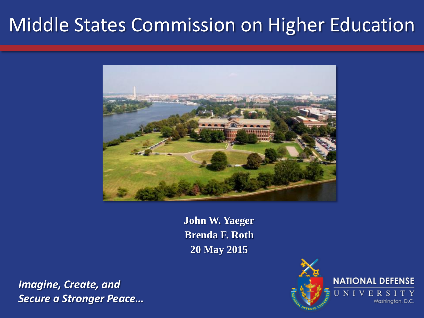## Middle States Commission on Higher Education



**John W. Yaeger Brenda F. Roth 20 May 2015**

*Imagine, Create, and Secure a Stronger Peace…*

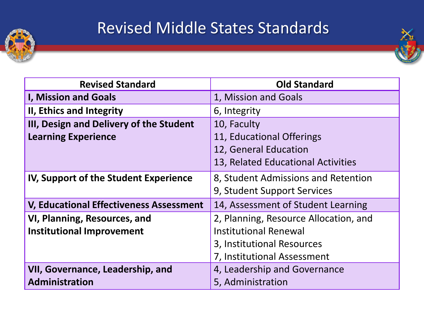

## Revised Middle States Standards

| <b>Revised Standard</b>                        | <b>Old Standard</b>                   |
|------------------------------------------------|---------------------------------------|
| <b>I, Mission and Goals</b>                    | 1, Mission and Goals                  |
| II, Ethics and Integrity                       | 6, Integrity                          |
| III, Design and Delivery of the Student        | 10, Faculty                           |
| <b>Learning Experience</b>                     | 11, Educational Offerings             |
|                                                | 12, General Education                 |
|                                                | 13, Related Educational Activities    |
| IV, Support of the Student Experience          | 8, Student Admissions and Retention   |
|                                                | 9, Student Support Services           |
| <b>V, Educational Effectiveness Assessment</b> | 14, Assessment of Student Learning    |
| VI, Planning, Resources, and                   | 2, Planning, Resource Allocation, and |
| <b>Institutional Improvement</b>               | <b>Institutional Renewal</b>          |
|                                                | 3, Institutional Resources            |
|                                                | 7, Institutional Assessment           |
| VII, Governance, Leadership, and               | 4, Leadership and Governance          |
| Administration                                 | 5, Administration                     |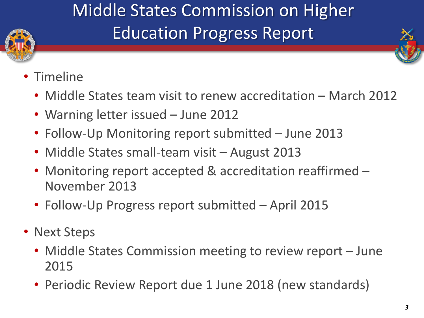

## Middle States Commission on Higher Education Progress Report

- Timeline
	- Middle States team visit to renew accreditation March 2012
	- Warning letter issued June 2012
	- Follow-Up Monitoring report submitted June 2013
	- Middle States small-team visit August 2013
	- Monitoring report accepted & accreditation reaffirmed November 2013
	- Follow-Up Progress report submitted April 2015
- Next Steps
	- Middle States Commission meeting to review report June 2015
	- Periodic Review Report due 1 June 2018 (new standards)